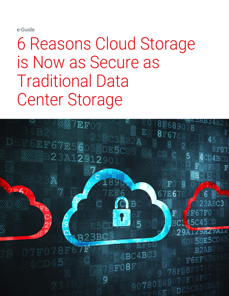e-Guide

6 Reasons Cloud Storage is Now as Secure as Traditional Data Center Storage

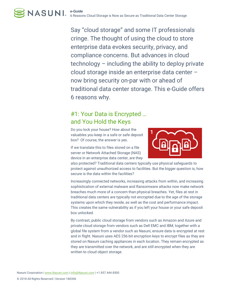Say "cloud storage" and some IT professionals cringe. The thought of using the cloud to store enterprise data evokes security, privacy, and compliance concerns. But advances in cloud technology – including the ability to deploy private cloud storage inside an enterprise data center – now bring security on-par with or ahead of traditional data center storage. This e-Guide offers 6 reasons why.

### #1: Your Data is Encrypted … and You Hold the Keys

Do you lock your house? How about the valuables you keep in a safe or safe deposit box? Of course, the answer is yes.

If we translate this to files stored on a file server or Network Attached Storage (NAS) device in an enterprise data center, are they



also protected? Traditional data centers typically use physical safeguards to protect against unauthorized access to facilities. But the bigger question is, how secure is the data within the facilities?

Increasingly connected networks, increasing attacks from within, and increasing sophistication of external malware and Ransomware attacks now make network breaches much more of a concern than physical breaches. Yet, files at rest in traditional data centers are typically not encrypted due to the age of the storage systems upon which they reside, as well as the cost and performance impact. This creates the same vulnerability as if you left your house or your safe deposit box unlocked.

By contrast, public cloud storage from vendors such as Amazon and Azure and private cloud storage from vendors such as Dell EMC and IBM, together with a global file system from a vendor such as Nasuni, ensure data is encrypted at rest and in flight. Nasuni uses AES 256-bit encryption keys to encrypt files as they are stored on Nasuni caching appliances in each location. They remain encrypted as they are transmitted over the network, and are still encrypted when they are written to cloud object storage.

Nasuni Corporation | www.Nasuni.com | info@Nasuni.com | +1.857.444.8500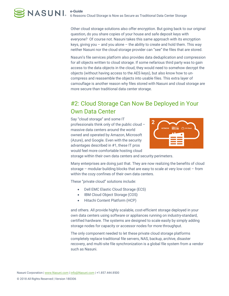Other cloud storage solutions also offer encryption. But going back to our original question, do you share copies of your house and safe deposit keys with everyone? Of course not. Nasuni takes this same approach with its encryption keys, giving you – and you alone – the ability to create and hold them. This way neither Nasuni nor the cloud storage provider can "see" the files that are stored.

Nasuni's file services platform also provides data deduplication and compression for all objects written to cloud storage. If some nefarious third party was to gain access to the data objects in the cloud, they would need to somehow decrypt the objects (without having access to the AES keys), but also know how to uncompress and reassemble the objects into usable files. This extra layer of camouflage is another reason why files stored with Nasuni and cloud storage are more secure than traditional data center storage.

## #2: Cloud Storage Can Now Be Deployed in Your Own Data Center

Say "cloud storage" and some IT professionals think only of the public cloud – massive data centers around the world owned and operated by Amazon, Microsoft (Azure), and Google. Even with the security advantages described in #1, these IT pros would feel more comfortable hosting cloud



storage within their own data centers and security perimeters.

Many enterprises are doing just that. They are now realizing the benefits of cloud storage – modular building blocks that are easy to scale at very low cost – from within the cozy confines of their own data centers.

These "private cloud" solutions include:

- Dell EMC Elastic Cloud Storage (ECS)
- IBM Cloud Object Storage (COS)
- Hitachi Content Platform (HCP)

and others. All provide highly scalable, cost-efficient storage deployed in your own data centers using software or appliances running on industry-standard, certified hardware. The systems are designed to scale easily by simply adding storage nodes for capacity or accessor nodes for more throughput.

The only component needed to let these private cloud storage platforms completely replace traditional file servers, NAS, backup, archive, disaster recovery, and multi-site file synchronization is a global file system from a vendor such as Nasuni.

Nasuni Corporation | www.Nasuni.com | info@Nasuni.com | +1.857.444.8500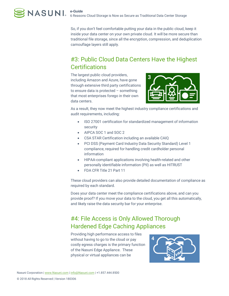So, if you don't feel comfortable putting your data in the public cloud, keep it inside your data center on your own private cloud. It will be more secure than traditional file storage, since all the encryption, compression, and deduplication camouflage layers still apply.

# #3: Public Cloud Data Centers Have the Highest **Certifications**

The largest public cloud providers, including Amazon and Azure, have gone through extensive third party certifications to ensure data is protected – something that most enterprises forego in their own data centers.



As a result, they now meet the highest industry compliance certifications and audit requirements, including:

- ISO 27001 certification for standardized management of information security
- AIPCA SOC 1 and SOC 2
- CSA STAR Certification including an available CAIQ
- PCI DSS (Payment Card Industry Data Security Standard) Level 1 compliance, required for handling credit cardholder personal information
- HIPAA-compliant applications involving health-related and other personally identifiable information (PII) as well as HITRUST
- FDA CFR Title 21 Part 11

These cloud providers can also provide detailed documentation of compliance as required by each standard.

Does your data center meet the compliance certifications above, and can you provide proof? If you move your data to the cloud, you get all this automatically, and likely raise the data security bar for your enterprise.

# #4: File Access is Only Allowed Thorough Hardened Edge Caching Appliances

Providing high performance access to files without having to go to the cloud or pay costly egress charges is the primary function of the Nasuni Edge Appliance. These physical or virtual appliances can be

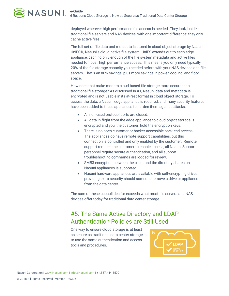deployed wherever high performance file access is needed. They look just like traditional file servers and NAS devices, with one important difference: they only cache active files.

The full set of file data and metadata is stored in cloud object storage by Nasuni UniFS®, Nasuni's cloud-native file system. UniFS extends out to each edge appliance, caching only enough of the file system metadata and active files needed for local, high performance access. This means you only need typically 20% of the file storage capacity you needed before with your NAS devices and file servers. That's an 80% savings, plus more savings in power, cooling, and floor space.

How does that make modern cloud-based file storage more secure than traditional file storage? As discussed in #1, Nasuni data and metadata is encrypted and is not usable in its at-rest format in cloud object storage. To access the data, a Nasuni edge appliance is required, and many security features have been added to these appliances to harden them against attacks:

- All non-used protocol ports are closed.
- All data in flight from the edge appliance to cloud object storage is encrypted and you, the customer, hold the encryption keys.
- There is no open customer or hacker-accessible back-end access. The appliances do have remote support capabilities, but this connection is controlled and only enabled by the customer. Remote support requires the customer to enable access, all Nasuni Support personnel require secure authentication, and all support troubleshooting commands are logged for review.
- SMB3 encryption between the client and the directory shares on Nasuni appliances is supported.
- Nasuni hardware appliances are available with self-encrypting drives, providing extra security should someone remove a drive or appliance from the data center.

The sum of these capabilities far exceeds what most file servers and NAS devices offer today for traditional data center storage.

## #5: The Same Active Directory and LDAP Authentication Policies are Still Used

One way to ensure cloud storage is at least as secure as traditional data center storage is to use the same authentication and access tools and procedures.

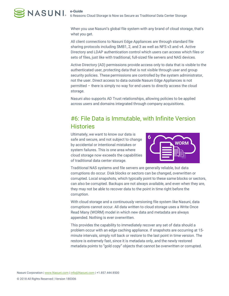When you use Nasuni's global file system with any brand of cloud storage, that's what you get.

All client connections to Nasuni Edge Appliances are through standard file sharing protocols including SMB1, 2, and 3 as well as NFS v3 and v4. Active Directory and LDAP authentication control which users can access which files or sets of files, just like with traditional, full-sized file servers and NAS devices.

Active Directory (AD) permissions provide access only to data that is visible to the authenticated user, protecting data that is not visible through user and group security policies. These permissions are controlled by the system administrator, not the user. Direct access to data outside Nasuni Edge Appliances is not permitted – there is simply no way for end users to directly access the cloud storage.

Nasuni also supports AD Trust relationships, allowing policies to be applied across users and domains integrated through company acquisitions.

### #6: File Data is Immutable, with Infinite Version **Histories**

Ultimately, we want to know our data is safe and secure, and not subject to change by accidental or intentional mistakes or system failures. This is one area where cloud storage now exceeds the capabilities of traditional data center storage.



Traditional NAS systems and file servers are generally reliable, but data corruptions do occur. Disk blocks or sectors can be changed, overwritten or corrupted. Local snapshots, which typically point to these same blocks or sectors, can also be corrupted. Backups are not always available, and even when they are, they may not be able to recover data to the point in time right before the corruption.

With cloud storage and a continuously versioning file system like Nasuni, data corruptions cannot occur. All data written to cloud storage uses a Write Once Read Many (WORM) model in which new data and metadata are always appended. Nothing is ever overwritten.

This provides the capability to immediately recover any set of data should a problem occur with an edge caching appliance. If snapshots are occurring at 15 minute intervals, simply roll back or restore to the last point in time version. The restore is extremely fast, since it is metadata only, and the newly restored metadata points to "gold copy" objects that cannot be overwritten or corrupted.